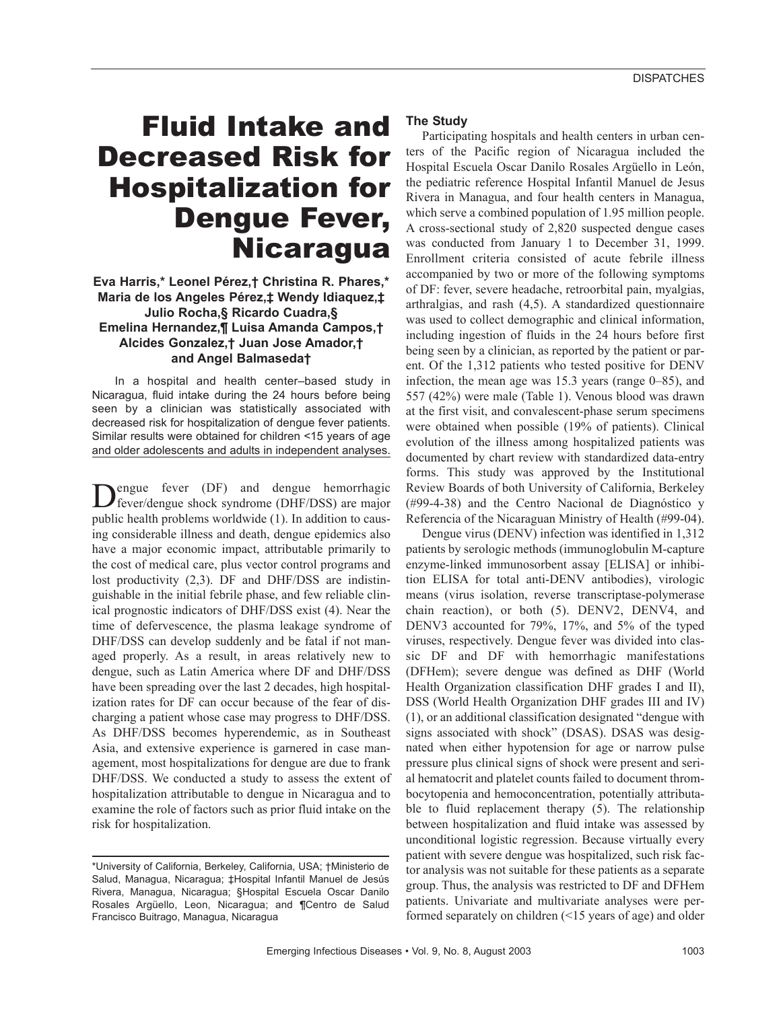# Fluid Intake and Decreased Risk for Hospitalization for Dengue Fever, **Nicaragua**

# **Eva Harris,\* Leonel Pérez,† Christina R. Phares,\* Maria de los Angeles Pérez,‡ Wendy Idiaquez,‡ Julio Rocha,§ Ricardo Cuadra,§ Emelina Hernandez,¶ Luisa Amanda Campos,† Alcides Gonzalez,† Juan Jose Amador,† and Angel Balmaseda†**

In a hospital and health center–based study in Nicaragua, fluid intake during the 24 hours before being seen by a clinician was statistically associated with decreased risk for hospitalization of dengue fever patients. Similar results were obtained for children <15 years of age and older adolescents and adults in independent analyses.

Dengue fever (DF) and dengue hemorrhagic fever/dengue shock syndrome (DHF/DSS) are major public health problems worldwide (1). In addition to causing considerable illness and death, dengue epidemics also have a major economic impact, attributable primarily to the cost of medical care, plus vector control programs and lost productivity (2,3). DF and DHF/DSS are indistinguishable in the initial febrile phase, and few reliable clinical prognostic indicators of DHF/DSS exist (4). Near the time of defervescence, the plasma leakage syndrome of DHF/DSS can develop suddenly and be fatal if not managed properly. As a result, in areas relatively new to dengue, such as Latin America where DF and DHF/DSS have been spreading over the last 2 decades, high hospitalization rates for DF can occur because of the fear of discharging a patient whose case may progress to DHF/DSS. As DHF/DSS becomes hyperendemic, as in Southeast Asia, and extensive experience is garnered in case management, most hospitalizations for dengue are due to frank DHF/DSS. We conducted a study to assess the extent of hospitalization attributable to dengue in Nicaragua and to examine the role of factors such as prior fluid intake on the risk for hospitalization.

## **The Study**

Participating hospitals and health centers in urban centers of the Pacific region of Nicaragua included the Hospital Escuela Oscar Danilo Rosales Argüello in León, the pediatric reference Hospital Infantil Manuel de Jesus Rivera in Managua, and four health centers in Managua, which serve a combined population of 1.95 million people. A cross-sectional study of 2,820 suspected dengue cases was conducted from January 1 to December 31, 1999. Enrollment criteria consisted of acute febrile illness accompanied by two or more of the following symptoms of DF: fever, severe headache, retroorbital pain, myalgias, arthralgias, and rash (4,5). A standardized questionnaire was used to collect demographic and clinical information, including ingestion of fluids in the 24 hours before first being seen by a clinician, as reported by the patient or parent. Of the 1,312 patients who tested positive for DENV infection, the mean age was 15.3 years (range 0–85), and 557 (42%) were male (Table 1). Venous blood was drawn at the first visit, and convalescent-phase serum specimens were obtained when possible (19% of patients). Clinical evolution of the illness among hospitalized patients was documented by chart review with standardized data-entry forms. This study was approved by the Institutional Review Boards of both University of California, Berkeley (#99-4-38) and the Centro Nacional de Diagnóstico y Referencia of the Nicaraguan Ministry of Health (#99-04).

Dengue virus (DENV) infection was identified in 1,312 patients by serologic methods (immunoglobulin M-capture enzyme-linked immunosorbent assay [ELISA] or inhibition ELISA for total anti-DENV antibodies), virologic means (virus isolation, reverse transcriptase-polymerase chain reaction), or both (5). DENV2, DENV4, and DENV3 accounted for 79%, 17%, and 5% of the typed viruses, respectively. Dengue fever was divided into classic DF and DF with hemorrhagic manifestations (DFHem); severe dengue was defined as DHF (World Health Organization classification DHF grades I and II), DSS (World Health Organization DHF grades III and IV) (1), or an additional classification designated "dengue with signs associated with shock" (DSAS). DSAS was designated when either hypotension for age or narrow pulse pressure plus clinical signs of shock were present and serial hematocrit and platelet counts failed to document thrombocytopenia and hemoconcentration, potentially attributable to fluid replacement therapy (5). The relationship between hospitalization and fluid intake was assessed by unconditional logistic regression. Because virtually every patient with severe dengue was hospitalized, such risk factor analysis was not suitable for these patients as a separate group. Thus, the analysis was restricted to DF and DFHem patients. Univariate and multivariate analyses were performed separately on children (<15 years of age) and older

<sup>\*</sup>University of California, Berkeley, California, USA; †Ministerio de Salud, Managua, Nicaragua; ‡Hospital Infantil Manuel de Jesús Rivera, Managua, Nicaragua; §Hospital Escuela Oscar Danilo Rosales Argüello, Leon, Nicaragua; and ¶Centro de Salud Francisco Buitrago, Managua, Nicaragua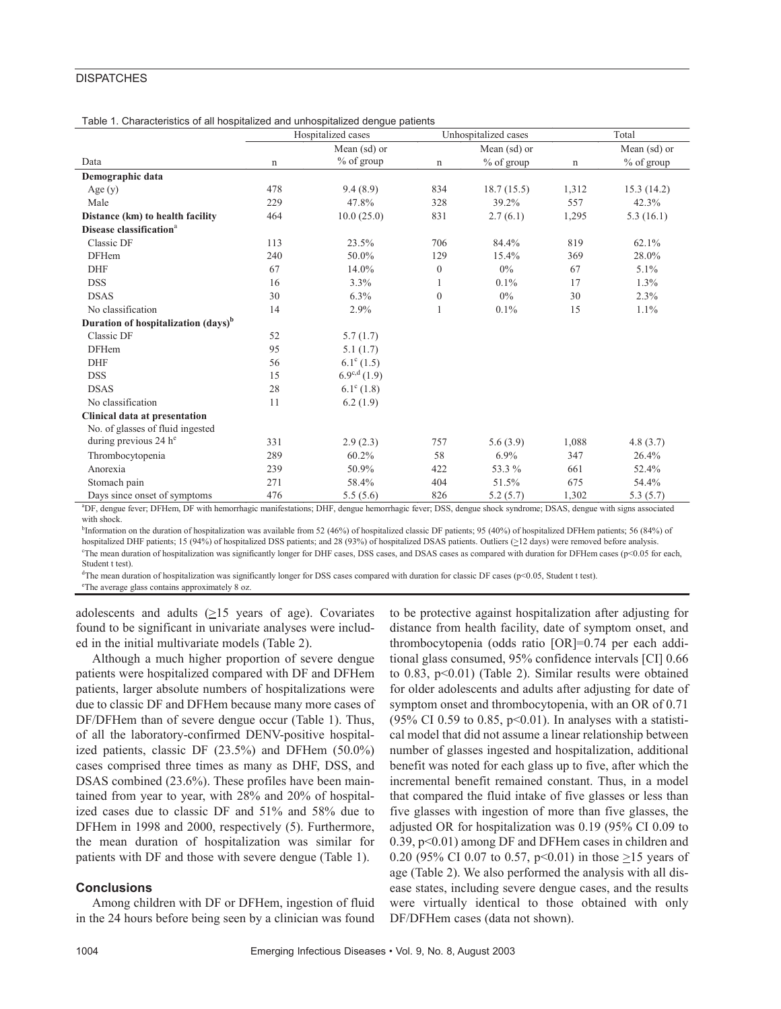## **DISPATCHES**

Table 1. Characteristics of all hospitalized and unhospitalized dengue patients

|                                                                                                                                                                         | Hospitalized cases |                         |                  | Unhospitalized cases | Total        |              |
|-------------------------------------------------------------------------------------------------------------------------------------------------------------------------|--------------------|-------------------------|------------------|----------------------|--------------|--------------|
|                                                                                                                                                                         | Mean (sd) or       |                         |                  | Mean (sd) or         | Mean (sd) or |              |
| Data                                                                                                                                                                    | n                  | $%$ of group            | n                | % of group           | n            | $%$ of group |
| Demographic data                                                                                                                                                        |                    |                         |                  |                      |              |              |
| Age(y)                                                                                                                                                                  | 478                | 9.4(8.9)                | 834              | 18.7(15.5)           | 1,312        | 15.3(14.2)   |
| Male                                                                                                                                                                    | 229                | 47.8%                   | 328              | 39.2%                | 557          | 42.3%        |
| Distance (km) to health facility                                                                                                                                        | 464                | 10.0(25.0)              | 831              | 2.7(6.1)             | 1,295        | 5.3(16.1)    |
| Disease classification <sup>a</sup>                                                                                                                                     |                    |                         |                  |                      |              |              |
| Classic DF                                                                                                                                                              | 113                | 23.5%                   | 706              | 84.4%                | 819          | 62.1%        |
| <b>DFHem</b>                                                                                                                                                            | 240                | 50.0%                   | 129              | 15.4%                | 369          | 28.0%        |
| <b>DHF</b>                                                                                                                                                              | 67                 | 14.0%                   | $\boldsymbol{0}$ | $0\%$                | 67           | 5.1%         |
| <b>DSS</b>                                                                                                                                                              | 16                 | 3.3%                    | 1                | 0.1%                 | 17           | 1.3%         |
| <b>DSAS</b>                                                                                                                                                             | 30                 | 6.3%                    | $\boldsymbol{0}$ | $0\%$                | 30           | 2.3%         |
| No classification                                                                                                                                                       | 14                 | 2.9%                    | $\mathbf{1}$     | 0.1%                 | 15           | 1.1%         |
| Duration of hospitalization (days) <sup>b</sup>                                                                                                                         |                    |                         |                  |                      |              |              |
| Classic DF                                                                                                                                                              | 52                 | 5.7(1.7)                |                  |                      |              |              |
| <b>DFHem</b>                                                                                                                                                            | 95                 | 5.1(1.7)                |                  |                      |              |              |
| <b>DHF</b>                                                                                                                                                              | 56                 | $6.1^{\circ}$ (1.5)     |                  |                      |              |              |
| <b>DSS</b>                                                                                                                                                              | 15                 | $6.9^{\text{c,d}}(1.9)$ |                  |                      |              |              |
| <b>DSAS</b>                                                                                                                                                             | 28                 | $6.1^{\circ}$ (1.8)     |                  |                      |              |              |
| No classification                                                                                                                                                       | 11                 | 6.2(1.9)                |                  |                      |              |              |
| <b>Clinical data at presentation</b>                                                                                                                                    |                    |                         |                  |                      |              |              |
| No. of glasses of fluid ingested                                                                                                                                        |                    |                         |                  |                      |              |              |
| during previous $24 he$                                                                                                                                                 | 331                | 2.9(2.3)                | 757              | 5.6(3.9)             | 1,088        | 4.8(3.7)     |
| Thrombocytopenia                                                                                                                                                        | 289                | 60.2%                   | 58               | $6.9\%$              | 347          | 26.4%        |
| Anorexia                                                                                                                                                                | 239                | 50.9%                   | 422              | 53.3 %               | 661          | 52.4%        |
| Stomach pain                                                                                                                                                            | 271                | 58.4%                   | 404              | 51.5%                | 675          | 54.4%        |
| Days since onset of symptoms                                                                                                                                            | 476                | 5.5(5.6)                | 826              | 5.2(5.7)             | 1,302        | 5.3(5.7)     |
| <sup>a</sup> DF, dengue fever; DFHem, DF with hemorrhagic manifestations; DHF, dengue hemorrhagic fever; DSS, dengue shock syndrome; DSAS, dengue with signs associated |                    |                         |                  |                      |              |              |

with shock.

<sup>b</sup>Information on the duration of hospitalization was available from 52 (46%) of hospitalized classic DF patients; 95 (40%) of hospitalized DFHem patients; 56 (84%) of hospitalized DHF patients; 15 (94%) of hospitalized DSS patients; and 28 (93%) of hospitalized DSAS patients. Outliers ( $\geq$ 12 days) were removed before analysis. The mean duration of hospitalization was significantly longer for DHF cases, DSS cases, and DSAS cases as compared with duration for DFHem cases (p<0.05 for each, Student t test).

<sup>d</sup>The mean duration of hospitalization was significantly longer for DSS cases compared with duration for classic DF cases (p<0.05, Student t test).

The average glass contains approximately 8 oz.

adolescents and adults  $(\geq)15$  years of age). Covariates found to be significant in univariate analyses were included in the initial multivariate models (Table 2).

Although a much higher proportion of severe dengue patients were hospitalized compared with DF and DFHem patients, larger absolute numbers of hospitalizations were due to classic DF and DFHem because many more cases of DF/DFHem than of severe dengue occur (Table 1). Thus, of all the laboratory-confirmed DENV-positive hospitalized patients, classic DF (23.5%) and DFHem (50.0%) cases comprised three times as many as DHF, DSS, and DSAS combined (23.6%). These profiles have been maintained from year to year, with 28% and 20% of hospitalized cases due to classic DF and 51% and 58% due to DFHem in 1998 and 2000, respectively (5). Furthermore, the mean duration of hospitalization was similar for patients with DF and those with severe dengue (Table 1).

#### **Conclusions**

Among children with DF or DFHem, ingestion of fluid in the 24 hours before being seen by a clinician was found

to be protective against hospitalization after adjusting for distance from health facility, date of symptom onset, and thrombocytopenia (odds ratio [OR]=0.74 per each additional glass consumed, 95% confidence intervals [CI] 0.66 to 0.83, p<0.01) (Table 2). Similar results were obtained for older adolescents and adults after adjusting for date of symptom onset and thrombocytopenia, with an OR of 0.71 (95% CI 0.59 to 0.85,  $p<0.01$ ). In analyses with a statistical model that did not assume a linear relationship between number of glasses ingested and hospitalization, additional benefit was noted for each glass up to five, after which the incremental benefit remained constant. Thus, in a model that compared the fluid intake of five glasses or less than five glasses with ingestion of more than five glasses, the adjusted OR for hospitalization was 0.19 (95% CI 0.09 to 0.39, p<0.01) among DF and DFHem cases in children and 0.20 (95% CI 0.07 to 0.57,  $p<0.01$ ) in those  $\geq$ 15 years of age (Table 2). We also performed the analysis with all disease states, including severe dengue cases, and the results were virtually identical to those obtained with only DF/DFHem cases (data not shown).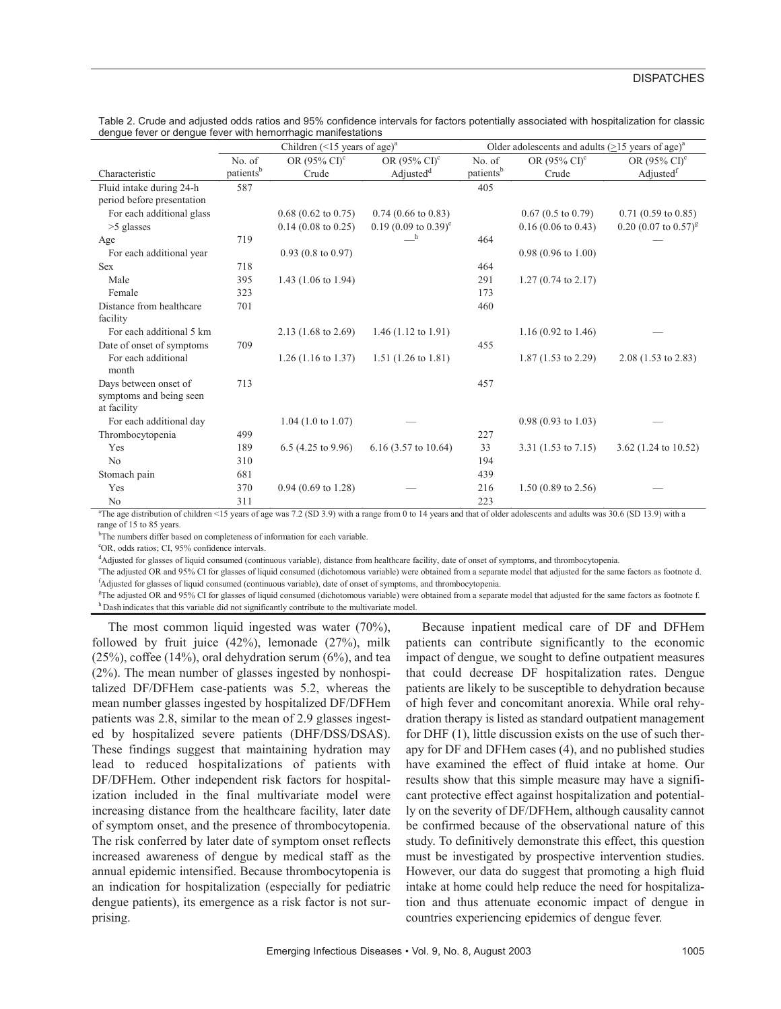|                                        | Children $(<15$ years of age) <sup>a</sup> |                                |                                    | Older adolescents and adults $(>15$ years of age) <sup>a</sup> |                                |                                     |  |
|----------------------------------------|--------------------------------------------|--------------------------------|------------------------------------|----------------------------------------------------------------|--------------------------------|-------------------------------------|--|
|                                        | No. of                                     | OR (95% CI) <sup>c</sup>       | OR $(95\% \text{ CI})^c$           | No. of                                                         | OR $(95\% \text{ CI})^c$       | OR $(95\% \text{ C}I)^c$            |  |
| Characteristic                         | patients <sup>b</sup>                      | Crude                          | Adjusted <sup>d</sup>              | patients <sup>b</sup>                                          | Crude                          | Adjusted <sup>f</sup>               |  |
| Fluid intake during 24-h               | 587                                        |                                |                                    | 405                                                            |                                |                                     |  |
| period before presentation             |                                            |                                |                                    |                                                                |                                |                                     |  |
| For each additional glass              |                                            | $0.68$ (0.62 to 0.75)          | $0.74$ (0.66 to 0.83)              |                                                                | $0.67(0.5 \text{ to } 0.79)$   | $0.71(0.59 \text{ to } 0.85)$       |  |
| $>5$ glasses                           |                                            | $0.14$ (0.08 to 0.25)          | $0.19$ (0.09 to 0.39) <sup>e</sup> |                                                                | $0.16$ (0.06 to 0.43)          | $0.20$ (0.07 to $0.57$ <sup>g</sup> |  |
| Age                                    | 719                                        |                                | h                                  | 464                                                            |                                |                                     |  |
| For each additional year               |                                            | $0.93$ (0.8 to 0.97)           |                                    |                                                                | $0.98(0.96 \text{ to } 1.00)$  |                                     |  |
| <b>Sex</b>                             | 718                                        |                                |                                    | 464                                                            |                                |                                     |  |
| Male                                   | 395                                        | 1.43 $(1.06 \text{ to } 1.94)$ |                                    | 291                                                            | $1.27(0.74 \text{ to } 2.17)$  |                                     |  |
| Female                                 | 323                                        |                                |                                    | 173                                                            |                                |                                     |  |
| Distance from healthcare               | 701                                        |                                |                                    | 460                                                            |                                |                                     |  |
| facility                               |                                            |                                |                                    |                                                                |                                |                                     |  |
| For each additional 5 km               |                                            | $2.13(1.68 \text{ to } 2.69)$  | $1.46$ (1.12 to 1.91)              |                                                                | 1.16 $(0.92 \text{ to } 1.46)$ |                                     |  |
| Date of onset of symptoms              | 709                                        |                                |                                    | 455                                                            |                                |                                     |  |
| For each additional<br>month           |                                            | $1.26$ (1.16 to 1.37)          | $1.51(1.26 \text{ to } 1.81)$      |                                                                | $1.87$ (1.53 to 2.29)          | $2.08(1.53 \text{ to } 2.83)$       |  |
| Days between onset of                  | 713                                        |                                |                                    | 457                                                            |                                |                                     |  |
| symptoms and being seen<br>at facility |                                            |                                |                                    |                                                                |                                |                                     |  |
| For each additional day                |                                            | $1.04$ (1.0 to 1.07)           |                                    |                                                                | $0.98(0.93 \text{ to } 1.03)$  |                                     |  |
| Thrombocytopenia                       | 499                                        |                                |                                    | 227                                                            |                                |                                     |  |
| Yes                                    | 189                                        | $6.5$ (4.25 to 9.96)           | $6.16$ (3.57 to 10.64)             | 33                                                             | $3.31(1.53 \text{ to } 7.15)$  | 3.62 $(1.24 \text{ to } 10.52)$     |  |
| No                                     | 310                                        |                                |                                    | 194                                                            |                                |                                     |  |
| Stomach pain                           | 681                                        |                                |                                    | 439                                                            |                                |                                     |  |
| Yes                                    | 370                                        | $0.94$ (0.69 to 1.28)          |                                    | 216                                                            | $1.50(0.89 \text{ to } 2.56)$  |                                     |  |
| $N_{\Omega}$                           | 311                                        |                                |                                    | 223                                                            |                                |                                     |  |

|                                                              | Table 2. Crude and adjusted odds ratios and 95% confidence intervals for factors potentially associated with hospitalization for classic |
|--------------------------------------------------------------|------------------------------------------------------------------------------------------------------------------------------------------|
| denque fever or denque fever with hemorrhagic manifestations |                                                                                                                                          |

No 223<br><sup>a</sup>The age distribution of children <15 years of age was 7.2 (SD 3.9) with a range from 0 to 14 years and that of older adolescents and adults was 30.6 (SD 13.9) with a range of 15 to 85 years.

 $b$ The numbers differ based on completeness of information for each variable.<br> $c$ OP, adds ration: CL 05% confidence intervals

OR, odds ratios; CI, 95% confidence intervals.

<sup>d</sup>Adjusted for glasses of liquid consumed (continuous variable), distance from healthcare facility, date of onset of symptoms, and thrombocytopenia.

e The adjusted OR and 95% CI for glasses of liquid consumed (dichotomous variable) were obtained from a separate model that adjusted for the same factors as footnote d. f Adjusted for glasses of liquid consumed (continuous variable), date of onset of symptoms, and thrombocytopenia.

<sup>g</sup>The adjusted OR and 95% CI for glasses of liquid consumed (dichotomous variable) were obtained from a separate model that adjusted for the same factors as footnote f. h Dash indicates that this variable did not significantly contribute to the multivariate model.

The most common liquid ingested was water (70%), followed by fruit juice (42%), lemonade (27%), milk  $(25\%)$ , coffee  $(14\%)$ , oral dehydration serum  $(6\%)$ , and tea (2%). The mean number of glasses ingested by nonhospitalized DF/DFHem case-patients was 5.2, whereas the mean number glasses ingested by hospitalized DF/DFHem patients was 2.8, similar to the mean of 2.9 glasses ingested by hospitalized severe patients (DHF/DSS/DSAS). These findings suggest that maintaining hydration may lead to reduced hospitalizations of patients with DF/DFHem. Other independent risk factors for hospitalization included in the final multivariate model were increasing distance from the healthcare facility, later date of symptom onset, and the presence of thrombocytopenia. The risk conferred by later date of symptom onset reflects increased awareness of dengue by medical staff as the annual epidemic intensified. Because thrombocytopenia is an indication for hospitalization (especially for pediatric dengue patients), its emergence as a risk factor is not surprising.

Because inpatient medical care of DF and DFHem patients can contribute significantly to the economic impact of dengue, we sought to define outpatient measures that could decrease DF hospitalization rates. Dengue patients are likely to be susceptible to dehydration because of high fever and concomitant anorexia. While oral rehydration therapy is listed as standard outpatient management for DHF (1), little discussion exists on the use of such therapy for DF and DFHem cases (4), and no published studies have examined the effect of fluid intake at home. Our results show that this simple measure may have a significant protective effect against hospitalization and potentially on the severity of DF/DFHem, although causality cannot be confirmed because of the observational nature of this study. To definitively demonstrate this effect, this question must be investigated by prospective intervention studies. However, our data do suggest that promoting a high fluid intake at home could help reduce the need for hospitalization and thus attenuate economic impact of dengue in countries experiencing epidemics of dengue fever.